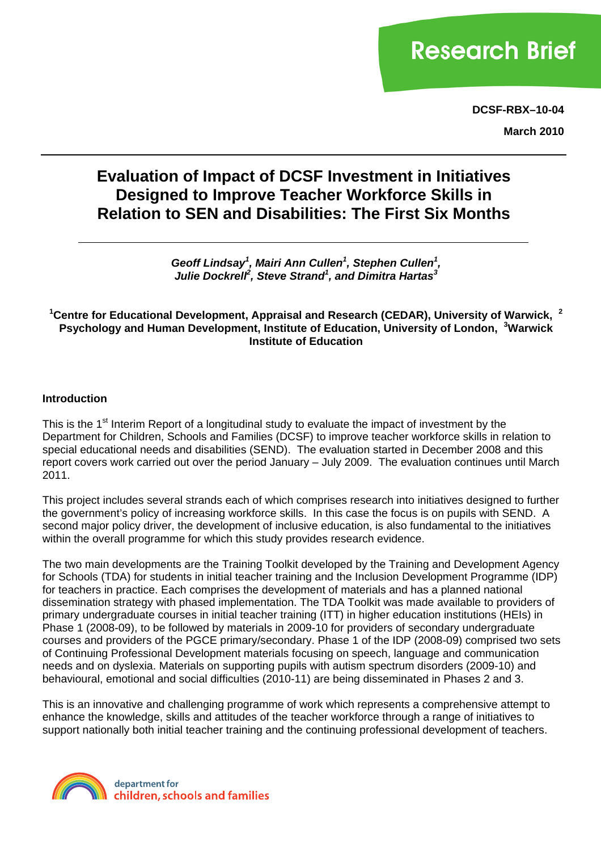# **Research Brief**

**DCSF-RBX–10-04**

**March 2010**

# **Evaluation of Impact of DCSF Investment in Initiatives Designed to Improve Teacher Workforce Skills in Relation to SEN and Disabilities: The First Six Months**

Geoff Lindsay<sup>1</sup>, Mairi Ann Cullen<sup>1</sup>, Stephen Cullen<sup>1</sup>, *Julie Dockrell<sup>2</sup> , Steve Strand<sup>1</sup> , and Dimitra Hartas3*

**1 Centre for Educational Development, Appraisal and Research (CEDAR), University of Warwick, <sup>2</sup> Psychology and Human Development, Institute of Education, University of London, <sup>3</sup> Warwick Institute of Education** 

#### **Introduction**

This is the 1<sup>st</sup> Interim Report of a longitudinal study to evaluate the impact of investment by the Department for Children, Schools and Families (DCSF) to improve teacher workforce skills in relation to special educational needs and disabilities (SEND). The evaluation started in December 2008 and this report covers work carried out over the period January – July 2009. The evaluation continues until March 2011.

This project includes several strands each of which comprises research into initiatives designed to further the government's policy of increasing workforce skills. In this case the focus is on pupils with SEND. A second major policy driver, the development of inclusive education, is also fundamental to the initiatives within the overall programme for which this study provides research evidence.

The two main developments are the Training Toolkit developed by the Training and Development Agency for Schools (TDA) for students in initial teacher training and the Inclusion Development Programme (IDP) for teachers in practice. Each comprises the development of materials and has a planned national dissemination strategy with phased implementation. The TDA Toolkit was made available to providers of primary undergraduate courses in initial teacher training (ITT) in higher education institutions (HEIs) in Phase 1 (2008-09), to be followed by materials in 2009-10 for providers of secondary undergraduate courses and providers of the PGCE primary/secondary. Phase 1 of the IDP (2008-09) comprised two sets of Continuing Professional Development materials focusing on speech, language and communication needs and on dyslexia. Materials on supporting pupils with autism spectrum disorders (2009-10) and behavioural, emotional and social difficulties (2010-11) are being disseminated in Phases 2 and 3.

This is an innovative and challenging programme of work which represents a comprehensive attempt to enhance the knowledge, skills and attitudes of the teacher workforce through a range of initiatives to support nationally both initial teacher training and the continuing professional development of teachers.

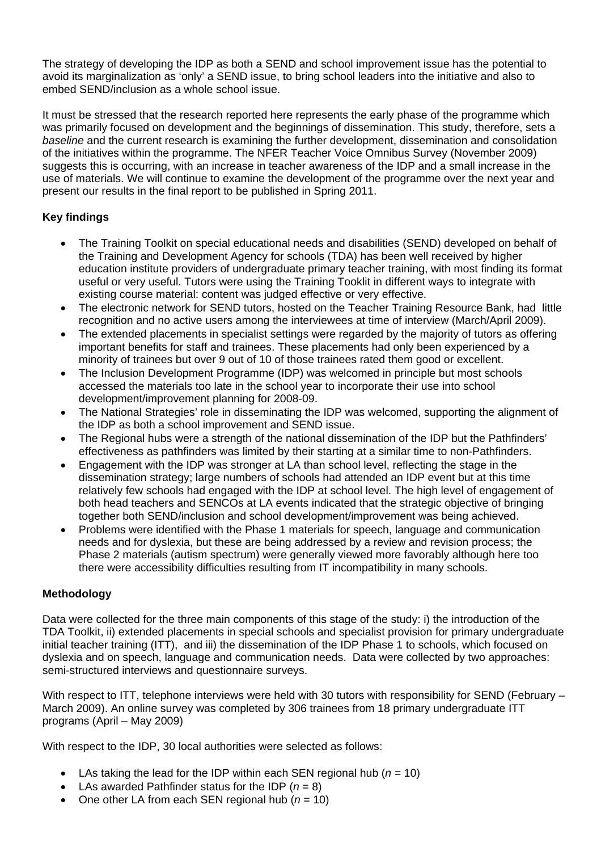The strategy of developing the IDP as both a SEND and school improvement issue has the potential to avoid its marginalization as 'only' a SEND issue, to bring school leaders into the initiative and also to embed SEND/inclusion as a whole school issue.

It must be stressed that the research reported here represents the early phase of the programme which was primarily focused on development and the beginnings of dissemination. This study, therefore, sets a *baseline* and the current research is examining the further development, dissemination and consolidation of the initiatives within the programme. The NFER Teacher Voice Omnibus Survey (November 2009) suggests this is occurring, with an increase in teacher awareness of the IDP and a small increase in the use of materials. We will continue to examine the development of the programme over the next year and present our results in the final report to be published in Spring 2011.

# **Key findings**

- The Training Toolkit on special educational needs and disabilities (SEND) developed on behalf of the Training and Development Agency for schools (TDA) has been well received by higher education institute providers of undergraduate primary teacher training, with most finding its format useful or very useful. Tutors were using the Training Tooklit in different ways to integrate with existing course material: content was judged effective or very effective.
- The electronic network for SEND tutors, hosted on the Teacher Training Resource Bank, had little recognition and no active users among the interviewees at time of interview (March/April 2009).
- The extended placements in specialist settings were regarded by the majority of tutors as offering important benefits for staff and trainees. These placements had only been experienced by a minority of trainees but over 9 out of 10 of those trainees rated them good or excellent.
- The Inclusion Development Programme (IDP) was welcomed in principle but most schools accessed the materials too late in the school year to incorporate their use into school development/improvement planning for 2008-09.
- The National Strategies' role in disseminating the IDP was welcomed, supporting the alignment of the IDP as both a school improvement and SEND issue.
- The Regional hubs were a strength of the national dissemination of the IDP but the Pathfinders' effectiveness as pathfinders was limited by their starting at a similar time to non-Pathfinders.
- Engagement with the IDP was stronger at LA than school level, reflecting the stage in the dissemination strategy; large numbers of schools had attended an IDP event but at this time relatively few schools had engaged with the IDP at school level. The high level of engagement of both head teachers and SENCOs at LA events indicated that the strategic objective of bringing together both SEND/inclusion and school development/improvement was being achieved.
- Problems were identified with the Phase 1 materials for speech, language and communication needs and for dyslexia, but these are being addressed by a review and revision process; the Phase 2 materials (autism spectrum) were generally viewed more favorably although here too there were accessibility difficulties resulting from IT incompatibility in many schools.

# **Methodology**

Data were collected for the three main components of this stage of the study: i) the introduction of the TDA Toolkit, ii) extended placements in special schools and specialist provision for primary undergraduate initial teacher training (ITT), and iii) the dissemination of the IDP Phase 1 to schools, which focused on dyslexia and on speech, language and communication needs. Data were collected by two approaches: semi-structured interviews and questionnaire surveys.

With respect to ITT, telephone interviews were held with 30 tutors with responsibility for SEND (February – March 2009). An online survey was completed by 306 trainees from 18 primary undergraduate ITT programs (April – May 2009)

With respect to the IDP, 30 local authorities were selected as follows:

- LAs taking the lead for the IDP within each SEN regional hub  $(n = 10)$
- LAs awarded Pathfinder status for the IDP  $(n = 8)$
- One other LA from each SEN regional hub (*n* = 10)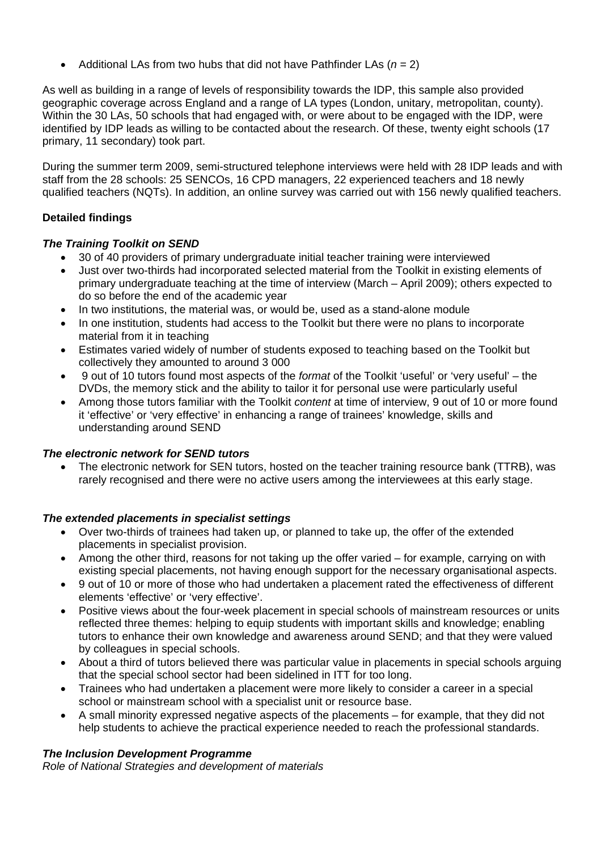• Additional LAs from two hubs that did not have Pathfinder LAs (*n* = 2)

As well as building in a range of levels of responsibility towards the IDP, this sample also provided geographic coverage across England and a range of LA types (London, unitary, metropolitan, county). Within the 30 LAs, 50 schools that had engaged with, or were about to be engaged with the IDP, were identified by IDP leads as willing to be contacted about the research. Of these, twenty eight schools (17 primary, 11 secondary) took part.

During the summer term 2009, semi-structured telephone interviews were held with 28 IDP leads and with staff from the 28 schools: 25 SENCOs, 16 CPD managers, 22 experienced teachers and 18 newly qualified teachers (NQTs). In addition, an online survey was carried out with 156 newly qualified teachers.

# **Detailed findings**

# *The Training Toolkit on SEND*

- 30 of 40 providers of primary undergraduate initial teacher training were interviewed
- Just over two-thirds had incorporated selected material from the Toolkit in existing elements of primary undergraduate teaching at the time of interview (March – April 2009); others expected to do so before the end of the academic year
- In two institutions, the material was, or would be, used as a stand-alone module
- In one institution, students had access to the Toolkit but there were no plans to incorporate material from it in teaching
- Estimates varied widely of number of students exposed to teaching based on the Toolkit but collectively they amounted to around 3 000
- 9 out of 10 tutors found most aspects of the *format* of the Toolkit 'useful' or 'very useful' the DVDs, the memory stick and the ability to tailor it for personal use were particularly useful
- Among those tutors familiar with the Toolkit *content* at time of interview, 9 out of 10 or more found it 'effective' or 'very effective' in enhancing a range of trainees' knowledge, skills and understanding around SEND

#### *The electronic network for SEND tutors*

• The electronic network for SEN tutors, hosted on the teacher training resource bank (TTRB), was rarely recognised and there were no active users among the interviewees at this early stage.

# *The extended placements in specialist settings*

- Over two-thirds of trainees had taken up, or planned to take up, the offer of the extended placements in specialist provision.
- Among the other third, reasons for not taking up the offer varied for example, carrying on with existing special placements, not having enough support for the necessary organisational aspects.
- 9 out of 10 or more of those who had undertaken a placement rated the effectiveness of different elements 'effective' or 'very effective'.
- Positive views about the four-week placement in special schools of mainstream resources or units reflected three themes: helping to equip students with important skills and knowledge; enabling tutors to enhance their own knowledge and awareness around SEND; and that they were valued by colleagues in special schools.
- About a third of tutors believed there was particular value in placements in special schools arguing that the special school sector had been sidelined in ITT for too long.
- Trainees who had undertaken a placement were more likely to consider a career in a special school or mainstream school with a specialist unit or resource base.
- A small minority expressed negative aspects of the placements for example, that they did not help students to achieve the practical experience needed to reach the professional standards.

# *The Inclusion Development Programme*

*Role of National Strategies and development of materials*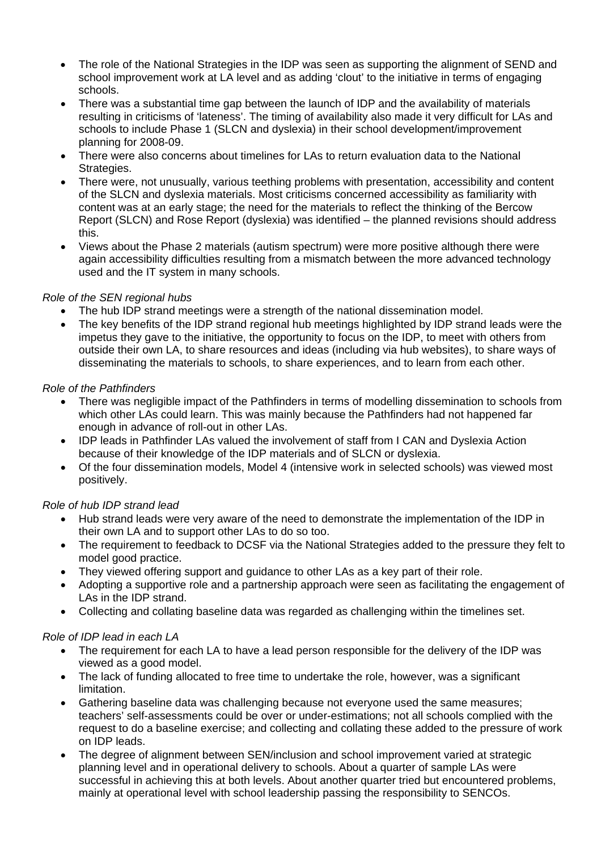- The role of the National Strategies in the IDP was seen as supporting the alignment of SEND and school improvement work at LA level and as adding 'clout' to the initiative in terms of engaging schools.
- There was a substantial time gap between the launch of IDP and the availability of materials resulting in criticisms of 'lateness'. The timing of availability also made it very difficult for LAs and schools to include Phase 1 (SLCN and dyslexia) in their school development/improvement planning for 2008-09.
- There were also concerns about timelines for LAs to return evaluation data to the National Strategies.
- There were, not unusually, various teething problems with presentation, accessibility and content of the SLCN and dyslexia materials. Most criticisms concerned accessibility as familiarity with content was at an early stage; the need for the materials to reflect the thinking of the Bercow Report (SLCN) and Rose Report (dyslexia) was identified – the planned revisions should address this.
- Views about the Phase 2 materials (autism spectrum) were more positive although there were again accessibility difficulties resulting from a mismatch between the more advanced technology used and the IT system in many schools.

#### *Role of the SEN regional hubs*

- The hub IDP strand meetings were a strength of the national dissemination model.
- The key benefits of the IDP strand regional hub meetings highlighted by IDP strand leads were the impetus they gave to the initiative, the opportunity to focus on the IDP, to meet with others from outside their own LA, to share resources and ideas (including via hub websites), to share ways of disseminating the materials to schools, to share experiences, and to learn from each other.

#### *Role of the Pathfinders*

- There was negligible impact of the Pathfinders in terms of modelling dissemination to schools from which other LAs could learn. This was mainly because the Pathfinders had not happened far enough in advance of roll-out in other LAs.
- IDP leads in Pathfinder LAs valued the involvement of staff from I CAN and Dyslexia Action because of their knowledge of the IDP materials and of SLCN or dyslexia.
- Of the four dissemination models, Model 4 (intensive work in selected schools) was viewed most positively.

# *Role of hub IDP strand lead*

- Hub strand leads were very aware of the need to demonstrate the implementation of the IDP in their own LA and to support other LAs to do so too.
- The requirement to feedback to DCSF via the National Strategies added to the pressure they felt to model good practice.
- They viewed offering support and guidance to other LAs as a key part of their role.
- Adopting a supportive role and a partnership approach were seen as facilitating the engagement of LAs in the IDP strand.
- Collecting and collating baseline data was regarded as challenging within the timelines set.

#### *Role of IDP lead in each LA*

- The requirement for each LA to have a lead person responsible for the delivery of the IDP was viewed as a good model.
- The lack of funding allocated to free time to undertake the role, however, was a significant limitation.
- Gathering baseline data was challenging because not everyone used the same measures; teachers' self-assessments could be over or under-estimations; not all schools complied with the request to do a baseline exercise; and collecting and collating these added to the pressure of work on IDP leads.
- The degree of alignment between SEN/inclusion and school improvement varied at strategic planning level and in operational delivery to schools. About a quarter of sample LAs were successful in achieving this at both levels. About another quarter tried but encountered problems, mainly at operational level with school leadership passing the responsibility to SENCOs.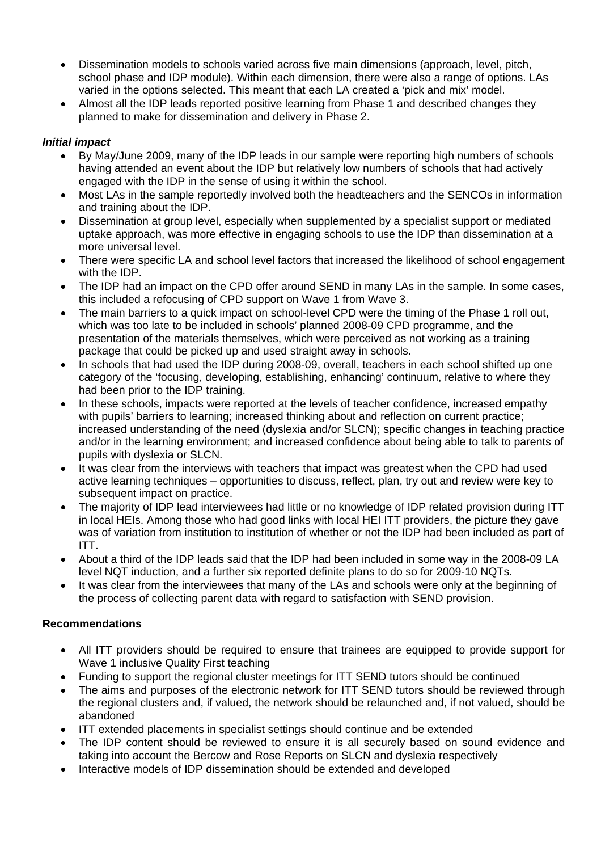- Dissemination models to schools varied across five main dimensions (approach, level, pitch, school phase and IDP module). Within each dimension, there were also a range of options. LAs varied in the options selected. This meant that each LA created a 'pick and mix' model.
- Almost all the IDP leads reported positive learning from Phase 1 and described changes they planned to make for dissemination and delivery in Phase 2.

#### *Initial impact*

- By May/June 2009, many of the IDP leads in our sample were reporting high numbers of schools having attended an event about the IDP but relatively low numbers of schools that had actively engaged with the IDP in the sense of using it within the school.
- Most LAs in the sample reportedly involved both the headteachers and the SENCOs in information and training about the IDP.
- Dissemination at group level, especially when supplemented by a specialist support or mediated uptake approach, was more effective in engaging schools to use the IDP than dissemination at a more universal level.
- There were specific LA and school level factors that increased the likelihood of school engagement with the **IDP**
- The IDP had an impact on the CPD offer around SEND in many LAs in the sample. In some cases, this included a refocusing of CPD support on Wave 1 from Wave 3.
- The main barriers to a quick impact on school-level CPD were the timing of the Phase 1 roll out, which was too late to be included in schools' planned 2008-09 CPD programme, and the presentation of the materials themselves, which were perceived as not working as a training package that could be picked up and used straight away in schools.
- In schools that had used the IDP during 2008-09, overall, teachers in each school shifted up one category of the 'focusing, developing, establishing, enhancing' continuum, relative to where they had been prior to the IDP training.
- In these schools, impacts were reported at the levels of teacher confidence, increased empathy with pupils' barriers to learning; increased thinking about and reflection on current practice; increased understanding of the need (dyslexia and/or SLCN); specific changes in teaching practice and/or in the learning environment; and increased confidence about being able to talk to parents of pupils with dyslexia or SLCN.
- It was clear from the interviews with teachers that impact was greatest when the CPD had used active learning techniques – opportunities to discuss, reflect, plan, try out and review were key to subsequent impact on practice.
- The majority of IDP lead interviewees had little or no knowledge of IDP related provision during ITT in local HEIs. Among those who had good links with local HEI ITT providers, the picture they gave was of variation from institution to institution of whether or not the IDP had been included as part of ITT.
- About a third of the IDP leads said that the IDP had been included in some way in the 2008-09 LA level NQT induction, and a further six reported definite plans to do so for 2009-10 NQTs.
- It was clear from the interviewees that many of the LAs and schools were only at the beginning of the process of collecting parent data with regard to satisfaction with SEND provision.

#### **Recommendations**

- All ITT providers should be required to ensure that trainees are equipped to provide support for Wave 1 inclusive Quality First teaching
- Funding to support the regional cluster meetings for ITT SEND tutors should be continued
- The aims and purposes of the electronic network for ITT SEND tutors should be reviewed through the regional clusters and, if valued, the network should be relaunched and, if not valued, should be abandoned
- ITT extended placements in specialist settings should continue and be extended
- The IDP content should be reviewed to ensure it is all securely based on sound evidence and taking into account the Bercow and Rose Reports on SLCN and dyslexia respectively
- Interactive models of IDP dissemination should be extended and developed